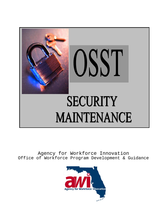

Agency for Workforce Innovation Office of Workforce Program Development & Guidance

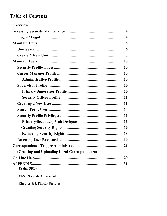# **Table of Contents**

| Login / Logoff minimum minimum minimum minimum 4 |  |
|--------------------------------------------------|--|
|                                                  |  |
|                                                  |  |
|                                                  |  |
|                                                  |  |
|                                                  |  |
|                                                  |  |
|                                                  |  |
|                                                  |  |
|                                                  |  |
|                                                  |  |
|                                                  |  |
|                                                  |  |
|                                                  |  |
|                                                  |  |
|                                                  |  |
|                                                  |  |
|                                                  |  |
|                                                  |  |
| (Creating and Uploading Local Correspondence)    |  |
|                                                  |  |
| <b>Useful URLs</b>                               |  |
| <b>OSST Security Agreement</b>                   |  |

**Chapter 815, Florida Statutes**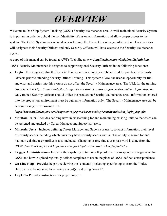# *OVERVIEW*

Welcome to One Stop System Tracking (OSST) Security Maintenance area. A well-maintained Security System is important in order to uphold the confidentiality of customer information and allow proper access to the system. The OSST System uses secured access through the Internet to exchange information. Local regions will designate their Security Officers and only Security Officers will have access to the Security Maintenance System.

A copy of this manual can be found at AWI's Web Site at *www2.myflorida.com/awi/pdg/osst/default.htm.* OSST Security Maintenance is designed to support regional Security Officers in the following functions:

• **Login** – It is suggested that the Security Maintenance training system be utilized for practice by Security Officers prior to attending Security Officer Training. This system allows the user an opportunity for trial and error and entries into this system do not affect the Security Maintenance area. The URL for the training environment is *[https://sun13.state.fl.us/wagesct/wagestrain/casetracking/securitymaint/sm\\_login\\_dsp.cfm](https://sun13.state.fl.us/wagesct/wagestrain/casetracking/securitymaint/sm_login_dsp.cfm)***.** Only trained Security Officers should utilize the production Security Maintenance area. Information entered into the production environment must be authentic information only. The Security Maintenance area can be accessed using the following URL:

*https://www.myfloridajobs.com/wagesct/wagesprod/casetracking/securitymaint/sm\_login\_dsp.cfm*

- **Maintain Units** Includes defining new units; searching for and maintaining existing units so that cases can be assigned and tracked by Career Manager and Supervisor users.
- **Maintain Users** Includes defining Career Manager and Supervisor users, contact information, their level of security access including which units they have security access within. The ability to search for and maintain existing user profiles is also included. Changing or resetting a user password is done from the OSST Case Tracking area at *https://www.myfloridajobs.com/casetracking/default.cfm*
- **Trigger Administration** Explains the capability to turn on/off pre-defined correspondence triggers within OSST and how to upload regionally defined templates to use in the place of OSST defined correspondence.
- **On Line Help** Provides help by reviewing the "contents", selecting specific topics from the "index" Help can also be obtained by entering a word(s) and using "search".
- **Log Off** Provides instructions for proper log-off.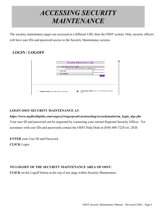# *ACCESSING SECURITY MAINTENANCE*

The security maintenance pages are accessed at a different URL than the OSST system. Only security officers will have user IDs and password access to the Security Maintenance screens.

## **LOGIN / LOGOFF**

|                                                     | <b>Security Maintenance Login</b>                         |  |
|-----------------------------------------------------|-----------------------------------------------------------|--|
|                                                     |                                                           |  |
|                                                     | <b>Add User Information</b>                               |  |
|                                                     | <b>FEnter User ID and Password Below 1</b>                |  |
|                                                     | $*$<br>User ID                                            |  |
|                                                     | Ж<br>Password                                             |  |
|                                                     | Login                                                     |  |
|                                                     |                                                           |  |
|                                                     |                                                           |  |
|                                                     |                                                           |  |
|                                                     |                                                           |  |
|                                                     |                                                           |  |
|                                                     |                                                           |  |
| ж<br>Required Fields: Information that is required. | Information Bubble: Click on the bubble for specific<br>Q |  |
|                                                     | help.                                                     |  |
|                                                     |                                                           |  |

## **LOGIN OSST SECURITY MAINTENANCE AT**:

## *https://www.myfloridajobs.com/wagesct/wagesprod/casetracking/securitymaint/sm\_login\_dsp.cfm* Your user ID and password can be requested by contacting your current Regional Security Officer. For

assistance with user IDs and passwords contact the OSST Help Desk at (850) 488-7228 ext. 2020.

**ENTER** your User ID and Password.

**CLICK** Login

## **TO LOGOFF OF THE SECURITY MAINTENANCE AREA OF OSST:**

**CLICK** on the Logoff button at the top of any page within Security Maintenance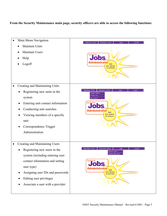#### **From the Security Maintenance main page, security officers are able to access the following functions:**

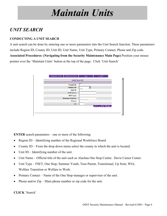# *Maintain Units*

# *UNIT SEARCH*

## **CONDUCTING A UNIT SEARCH**

A unit search can be done by entering one or more parameters into the Unit Search function. These parameters include Region ID, County ID, Unit ID, Unit Name, Unit Type, Primary Contact, Phone and Zip code. **Associated Procedures: (Navigating from the Security Maintenance Main Page)** Position your mouse pointer over the 'Maintain Units' button at the top of the page. Click 'Unit Search'

| Maintain Units<br>Maintain Users | Help | Logoff               |
|----------------------------------|------|----------------------|
| <b>Unit Search</b>               |      |                      |
|                                  |      |                      |
| <b>Region ID</b>                 |      |                      |
| County ID                        | ▼    |                      |
| Unit ID                          |      |                      |
| <b>Unit Name</b>                 |      |                      |
| <b>Unit Type</b>                 |      |                      |
| <b>Primary Contact</b>           |      |                      |
| Phone                            |      |                      |
| Zip                              |      |                      |
|                                  |      | Search Clear Changes |
|                                  |      |                      |
|                                  |      |                      |
|                                  |      |                      |

**ENTER** search parameters – one or more of the following:

- Region ID Identifying number of the Regional Workforce Board.
- County ID From the drop down menu select the county in which the unit is located.
- Unit ID Identifying number of the unit.
- Unit Name Official title of the unit such as Alachua One Stop Center, Davie Career Center.
- Unit Type FSET, One Stop, Summer Youth, Teen Parent, Transitional, Up front, WIA, Welfare Transition or Welfare to Work.
- Primary Contact Name of the One Stop manager or supervisor of the unit.
- Phone and/or Zip Main phone number or zip code for the unit.

**CLICK** 'Search'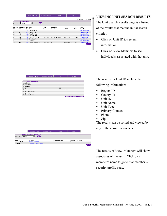|              |                       |    | Maintain Units           | Maintain Users      | Help               |            | Logoff |                      |
|--------------|-----------------------|----|--------------------------|---------------------|--------------------|------------|--------|----------------------|
|              |                       |    |                          |                     |                    |            |        | Records retrieved: 8 |
|              | <b>Unit Directory</b> |    |                          |                     |                    |            |        |                      |
| Sort by:     | Region ID             |    | $\overline{\phantom{a}}$ | <b>Sort</b>         |                    |            |        |                      |
|              |                       |    |                          |                     |                    |            |        |                      |
| Region<br>ID | County<br>ID          | ID | <b>Unit Unit</b><br>Name | <b>Hnit</b><br>Type | Primary<br>Contact | Phone      | Zip    | View<br>Members      |
|              | 17                    |    | 402 Escambia Jep         |                     |                    |            |        | <b>View Members</b>  |
| 8            | 45                    |    | 402 Nassau Jep           |                     |                    |            |        | <b>View Members</b>  |
| 14           | 52                    |    | 402 Pinellas Jep         |                     |                    |            |        | <b>View Members</b>  |
| 12           | 48                    |    | 402 Orange Jep           |                     |                    |            |        | <b>View Members</b>  |
| 20           | 47                    |    | 402 Okeechobee Jep       | One-Stop            | Debbie Graham      | 5555555555 | 33333  | <b>View Members</b>  |
|              | 47                    |    | 402 Inactive Unit        |                     |                    |            |        | <b>View Members</b>  |
| 23           | 13                    |    | 402 Dade Jep             |                     |                    |            |        | <b>View Members</b>  |
| 11           | 64                    |    | 402 Daytona Beach        | One-Stop            | Ann                | 3862743857 | 32117  | <b>View Members</b>  |
|              |                       |    |                          |                     |                    |            |        | <b>Back</b>          |
|              |                       |    |                          |                     |                    |            |        |                      |

|  | VIEWING UNIT SEARCH RESULTS |
|--|-----------------------------|
|  |                             |

The Unit Search Results page is a listing of the results that met the initial search criteria .

- Click on Unit ID to see unit information.
- Click on View Members to see individuals associated with that unit.

The results for Unit ID include the following information:

- Region ID
- County ID
- Unit ID
- Unit Name
- Unit Type
- Primary Contact
- Phone
- $\bullet$  Zip

The results can be sorted and viewed by

any of the above parameters.

The results of View Members will show associates of the unit. Click on a member's name to go to that member's security profile page.

| District ID:<br>County ID:<br>17<br>Unit ID:<br>402<br><b>Unit Name:</b><br>Escambia Jep<br><b>Unit Description:</b><br>Unit Type: | <b>Unit Summary</b><br><b>Region ID:</b> |  |
|------------------------------------------------------------------------------------------------------------------------------------|------------------------------------------|--|
|                                                                                                                                    |                                          |  |
|                                                                                                                                    |                                          |  |
|                                                                                                                                    |                                          |  |
|                                                                                                                                    |                                          |  |
|                                                                                                                                    |                                          |  |
|                                                                                                                                    |                                          |  |
|                                                                                                                                    | <b>Unit Location:</b>                    |  |

Maintain Units | Maintain Users | Help | Logoff |

|                     | Maintain Units                       | Maintain Users | Help         | Logoff                |             |
|---------------------|--------------------------------------|----------------|--------------|-----------------------|-------------|
|                     | <b>Member Directory for Unit 602</b> |                |              |                       |             |
| User ID<br>Sort by: | Sort)                                |                |              |                       |             |
|                     |                                      |                |              |                       |             |
| Hser ID             | Name                                 |                | Organization | <b>Primary County</b> |             |
| SHETTI EST          | Silby, Thomas                        |                |              | LEON                  |             |
| boatwr              | Washington, Denzel                   |                |              |                       |             |
|                     |                                      |                |              |                       | <b>Back</b> |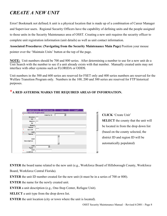# *CREATE A NEW UNIT*

Error! Bookmark not defined.A unit is a physical location that is made up of a combination of Career Manager and Supervisor users. Regional Security Officers have the capability of defining units and the people assigned to those units in the Security Maintenance area of OSST. Creating a new unit requires the security officer to complete unit registration information (unit details) as well as unit contact information.

**Associated Procedures: (Navigating from the Security Maintenance Main Page)** Position your mouse pointer over the 'Maintain Units' button at the top of the page.

**NOTE:** Unit numbers should be 700 and 800 series. After determining a number to use for a new unit do a Unit Search with the number to see if a unit already exists with that number. Manually created units may not interface with other systems such as FLORIDA or ODDS.

Unit numbers in the 500 and 600 series are reserved for FSET only and 400 series numbers are reserved for the Welfare Transition Program only. Numbers in the 100, 200 and 300 series are reserved for FTP historical purposes.

## \***A RED ASTERISK MARKS THE REQUIRED AREAS OF INFORMATION.**

| Maintain Units               | Maintain Users   | Help           | Logoff |
|------------------------------|------------------|----------------|--------|
| <b>New Unit Registration</b> |                  |                |        |
| $\ast$                       | <b>County ID</b> | $\blacksquare$ |        |
| District<br>ID               |                  |                |        |
| Region<br>ID                 |                  |                |        |
| Board<br>Name                |                  |                |        |
| $\ast$<br>Unit ID            |                  |                |        |
| <b>Unit</b><br>ж<br>Name     |                  |                |        |
| Unit<br>Description          |                  |                |        |
| Unit<br>Type                 |                  |                |        |
| Unit<br>ж<br>Location        |                  |                |        |

**CLICK** 'Create Unit' **SELECT** the county that the unit will be located in from the drop down list (based on the county selected, the district ID and region ID will be automatically populated)

**ENTER** the board name related to the new unit (e.g., Workforce Board of Hillsborough County, Workforce Board, Workforce Central Florida).

**ENTER** the unit ID number created for the new unit (it must be in a series of 700 or 800).

**ENTER** the name for the newly created unit.

**ENTER** a unit description (e.g., One-Stop Center, Refugee Unit).

**SELECT** a unit type from the drop down list.

**ENTER** the unit location (city or town where the unit is located).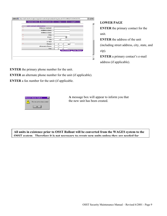|        | Maintain Units                  | Maintain Users         | Help |                      | Logoff |                      |  |
|--------|---------------------------------|------------------------|------|----------------------|--------|----------------------|--|
|        | <b>Unit Contact Information</b> |                        |      |                      |        |                      |  |
| ж      |                                 | <b>Primary Contact</b> |      |                      |        |                      |  |
| Ж      |                                 | <b>Address Line1</b>   |      |                      |        |                      |  |
|        |                                 | <b>Address Line2</b>   |      |                      |        |                      |  |
| ж      |                                 | City                   |      |                      |        |                      |  |
| $*$    |                                 | State                  |      |                      |        |                      |  |
| Ж      |                                 | Zip                    | - 1  |                      |        |                      |  |
|        |                                 | E-Mail                 |      |                      |        |                      |  |
| $\ast$ |                                 | Phone                  |      | Ext.                 |        |                      |  |
|        |                                 | <b>Alternate Phone</b> |      |                      |        |                      |  |
|        |                                 | Fax                    |      |                      |        |                      |  |
|        |                                 |                        |      | <b>Save/Continue</b> |        | <b>Clear Changes</b> |  |
|        |                                 |                        |      |                      |        |                      |  |
|        |                                 |                        |      |                      |        |                      |  |

#### **LOWER PAGE**

**ENTER** the primary contact for the unit.

**ENTER** the address of the unit (including street address, city, state, and zip).

**ENTER** a primary contact's e-mail address (if applicable).

**ENTER** the primary phone number for the unit.

**ENTER** an alternate phone number for the unit (if applicable).

**ENTER** a fax number for the unit (if applicable.



**A** message box will appear to inform you that the new unit has been created.

**All units in existence prior to OSST Rollout will be converted from the WAGES system to the OSST system. Therefore it is not necessary to create new units unless they are needed for**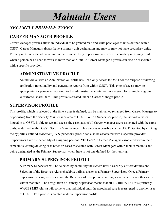# *Maintain Users*

# *SECURITY PROFILE TYPES*

## **CAREER MANAGER PROFILE**

Career Manager profiles allow an individual to be granted read and write privileges to units defined within OSST. Career Managers always have a primary unit designation and may or may not have secondary units. Primary units indicate where an individual is most likely to perform their work. Secondary units may exist when a person has a need to work in more than one unit. A Career Manager's profile can also be associated with a specific provider.

## **ADMINISTRATIVE PROFILE**

An individual with an Administrative Profile has Read-only access to OSST for the purpose of viewing application functionality and generating reports from within OSST. This type of access may be appropriate for personnel working for the administrative entity within a region, for example Regional Workforce Board Staff. This profile is created under a Career Manager profile.

## **SUPERVISOR PROFILE**

This profile, which is selected at the time a user is defined, can be maintained (changed from Career Manager to Supervisor) from the Security Maintenance area of OSST. With a Supervisor profile, the individual when logged in to OSST, is able to see and access the caseloads of all Career Manager users associated with the same units, as defined within OSST Security Maintenance. This view is accessible via the OSST Desktop by clicking the hyperlink entitled *Workload.* A Supervisor's profile can also be associated with a specific provider. Supervisors have the capability of assigning personal "To Do's" to Career Managers associated within their same units, editing/deleting case notes on cases associated with Career Managers within their same units and being designated as the Primary Supervisor when there is not one defined for their unit(s).

## **PRIMARY SUPERVISOR PROFILE**

A Primary Supervisor will be selected by default by the system until a Security Officer defines one. Selection of the Receives Alerts checkbox defines a user as a Primary Supervisor. Once a Primary Supervisor is designated for a unit the Receives Alerts option is no longer available to any other users within that unit. The designation of Primary Supervisor means that all FLORIDA To Do's (formerly WAGES MIS Alerts) will come to that individual until the associated case is reassigned to another user of OSST. This profile is created under a Supervisor profile.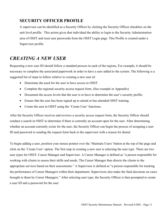## **SECURITY OFFICER PROFILE**

A supervisor can be identified as a Security Officer by clicking the Security Officer checkbox on the unit level profile. This action gives that individual the ability to login to the Security Administration area of OSST and reset user passwords from the OSST Login page. This Profile is created under a Supervisor profile.

## *CREATING A NEW USER*

Requesting a new user ID should follow a standard process in each of the regions. For example, it should be necessary to complete the associated paperwork in order to have a user added to the system. The following is a suggested list of steps to follow relative to creating a new user id:

- Determine the need for the user to have access to OSST.
- Complete the regional security access request form. (See example in Appendix)
- Document the access levels that the user is to have to determine the user's security profile.
- Ensure that the user has been signed up to attend or has attended OSST training.
- Create the user in OSST using the 'Create User' functions.

After the Security Officer receives and reviews a security access request form, the Security Officer should conduct a search in OSST to determine if there is currently an account open for the user. After determining whether an account currently exists for the user, the Security Officer can begin the process of assigning a user ID and password or sending the request form back to the supervisor with a reason for denial.

To begin adding a user, position your mouse pointer over the 'Maintain Users' button at the top of the page and click on the 'Create User' option. The first step in creating a new user is selecting the user type. There are two user types for OSST: Career Manager and Supervisor. A Career Manager is defined as "a person responsible for working with clients to assess their skills and needs. The Career Manager then directs the clients to the appropriate services based on their assessments." A Supervisor is defined as "a person responsible for tracking the performance of Career Managers within their department. Supervisors also make the final decisions on cases brought to them by Career Managers." After selecting user type, the Security Officer is then prompted to create a user ID and a password for the user.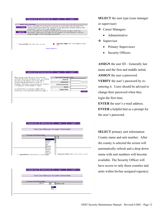|                       | Maintain Units                                 | Maintain Users                                   | Help. | Logoff                                                                                                                                                                      |  |
|-----------------------|------------------------------------------------|--------------------------------------------------|-------|-----------------------------------------------------------------------------------------------------------------------------------------------------------------------------|--|
|                       |                                                |                                                  |       |                                                                                                                                                                             |  |
|                       | Select your user type                          |                                                  |       |                                                                                                                                                                             |  |
| <b>Career Manager</b> |                                                | assessments. Click on the Career Manager button. |       | Person responsible for working with customers to assess their skills and needs. The<br>career manager then directs the customers to the appropriate services based on their |  |
| <b>Supervisor</b>     |                                                | career managers. Click on the Supervisor button. |       | Person responsible for tracking the performance of career managers within their<br>department. Supervisors also make the final decisions on cases brought to them by        |  |
|                       |                                                |                                                  |       |                                                                                                                                                                             |  |
|                       |                                                |                                                  |       |                                                                                                                                                                             |  |
| ж                     | Required Fields: Information that is required. |                                                  | help. | Information Bubble: Click on the bubble for specific                                                                                                                        |  |
|                       |                                                | - Privacy Statement -                            |       |                                                                                                                                                                             |  |
|                       |                                                |                                                  |       |                                                                                                                                                                             |  |

| Maintain Units                                                                                 | Maintain Users | Help |                               | Logoff |                 |
|------------------------------------------------------------------------------------------------|----------------|------|-------------------------------|--------|-----------------|
| Please assign a User ID such as the user's last                                                |                |      | <b>New Case Manager Login</b> |        |                 |
| name plus first initial and middle initial. By entering                                        |                | ж    | User ID                       |        |                 |
| the users e-mail address they will be able to<br>retrieve their password later, in case it is  |                | ж    | Password                      |        |                 |
| forgotten. Usernames and passwords are limited to<br>13 characters, either numbers or letters. |                | ж    | <b>Verify Password</b>        |        |                 |
|                                                                                                |                |      | Email                         |        |                 |
| We request that you provide a helpful hint to                                                  |                | ж    | <b>Helpful Hint</b>           |        |                 |
| remind you of your password should you forget it.                                              |                |      |                               |        | <b>Continue</b> |
|                                                                                                |                |      |                               |        |                 |

|   | Maintain Units                                       | Maintain Users                                    | Help | Logoff                                               |
|---|------------------------------------------------------|---------------------------------------------------|------|------------------------------------------------------|
|   |                                                      | New Case Manager Account Information              |      |                                                      |
|   |                                                      |                                                   |      |                                                      |
|   | <b>Primary Unit Information</b>                      |                                                   |      |                                                      |
|   |                                                      |                                                   |      |                                                      |
|   |                                                      | Alachua<br><b>Baker</b><br>Bay<br>Bradford        |      |                                                      |
| ж | Required Fields: Information that is required Citrus | Brevard<br><b>Broward</b><br>Calhoun<br>Charlotte |      | Information Bubble: Click on the bubble for specific |

| Maintain Units                  | Maintain Users | <b>Help</b>                          | Logoff |
|---------------------------------|----------------|--------------------------------------|--------|
|                                 |                |                                      |        |
|                                 |                | New Case Manager Account Information |        |
|                                 |                |                                      |        |
| <b>Primary Unit Information</b> |                |                                      |        |
|                                 | Baker          | Select unit                          |        |
|                                 | 408            |                                      |        |
|                                 | 615            |                                      |        |
|                                 |                |                                      |        |
|                                 |                |                                      |        |

**SELECT** the user type (case manager or supervisor)

- Career Managers
	- Administrative
- ❖ Supervisor
	- Primary Supervisors
	- Security Officers

**ASSIGN** the user ID – Generally last name and the first and middle initial. **ASSIGN** the user a password. **VERIFY** the user's password by reentering it. Users should be advised to change their password when they login the first time.

**ENTER** the user's e-mail address.

**ENTER** a helpful hint as a prompt for the user's password.

**SELECT** primary unit information County name and unit number. After the county is selected the screen will automatically refresh and a drop down menu with unit numbers will become available. The Security Officer will have access to only those counties and units within his/her assigned region(s).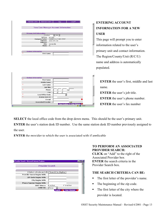| Maintain Units<br>Maintain Users | Help                                 | Logoff                             |
|----------------------------------|--------------------------------------|------------------------------------|
|                                  |                                      |                                    |
|                                  | New Case Manager Account Information |                                    |
|                                  |                                      |                                    |
| <b>Primary Unit Information</b>  |                                      |                                    |
| Alachua                          | $\sqrt{=}$ 456 $\sqrt{=}$            |                                    |
| R/C/U:<br>Company Name:          | 9/1/456<br>GAINESVILLE ONE-STOP      |                                    |
| Address:                         | 1656 6th Ave                         |                                    |
| Address:<br>City:                | Gainesville                          |                                    |
| State:<br>FL.                    |                                      |                                    |
|                                  |                                      |                                    |
| <b>Contact Information</b>       |                                      |                                    |
| $\ast$<br><b>First Name</b>      |                                      |                                    |
|                                  |                                      |                                    |
|                                  |                                      |                                    |
|                                  |                                      |                                    |
|                                  |                                      |                                    |
|                                  |                                      |                                    |
|                                  |                                      |                                    |
|                                  |                                      |                                    |
|                                  |                                      |                                    |
|                                  |                                      |                                    |
|                                  |                                      |                                    |
| <b>Contact Information</b>       |                                      |                                    |
| ж<br><b>First Name</b>           |                                      |                                    |
| Middle Name                      |                                      |                                    |
| ж<br><b>Last Name</b>            |                                      |                                    |
| <b>Job Title</b>                 |                                      |                                    |
| ж<br>Phone                       | Ext.<br>ĭ<br>L,                      |                                    |
| Fax                              |                                      |                                    |
| ж<br><b>Local Office Code</b>    | $\overline{\phantom{a}}$             |                                    |
| ж<br><b>Station Desk ID</b>      |                                      |                                    |
| E-mail                           |                                      | Ω                                  |
| <b>Associated Provider</b>       |                                      | Add                                |
|                                  |                                      | Save/Continue L Clear Changes<br>, |
|                                  |                                      | A<br><b>O</b> Internet             |

## **ENTERING ACCOUNT INFORMATION FOR A NEW USER**

This page will prompt you to enter information related to the user's primary unit and contact information. The Region/County/Unit (R/C/U) name and address is automatically populated.

**ENTER** the user's first, middle and last name.

**ENTER** the user's job title. **ENTER** the user's phone number.

**ENTER** the user's fax number

**SELECT** the local office code from the drop down menu. This should be the user's primary unit.

**ENTER** the user's station desk ID number. Use the same station desk ID number previously assigned to the user.

 $\blacksquare$ 

**ENTER** the provider to which the user is associated with if applicable

| Provider Search - Microsoft Internet Explorer     |  |
|---------------------------------------------------|--|
| Provider Search                                   |  |
|                                                   |  |
| [ Select criteria and click 'Search' to display ] |  |
| <b>Provider Name Begins With</b>                  |  |
| <b>ZIP Code Begins With</b>                       |  |
| <b>City Begins With</b>                           |  |
| <b>Phone Number Begins With</b>                   |  |
| G Active<br>C Inactive<br><b>OSST Status</b>      |  |
| Order By<br>  Name                                |  |
| Clear Changes ?<br><b>Search</b>                  |  |
|                                                   |  |

### **TO PERFORM AN ASSOCIATED PROVIDER SEARCH:**

**CLICK** on "Add" to the right of the Associated Provider box **ENTER** the search criteria in the Provider Search box.

### **THE SEARCH CRITERIA CAN BE:**

- The first letter of the provider's name.
- The beginning of the zip code.
- The first letter of the city where the provider is located.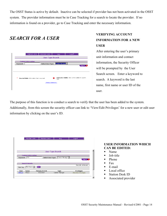The OSST Status is active by default. Inactive can be selected if provider has not been activated in the OSST system. The provider information must be in Case Tracking for a search to locate the provider. If no information is found on a provider, go to Case Tracking and enter the necessary information.

# *SEARCH FOR A USER*

|          | Maintain Units                                 | Maintain Users           | Help       |                  | Logoff                                               |                     |
|----------|------------------------------------------------|--------------------------|------------|------------------|------------------------------------------------------|---------------------|
|          |                                                | <b>User Type Search</b>  |            |                  |                                                      |                     |
|          | <b>Contact Information</b>                     |                          |            |                  |                                                      |                     |
| Keyword: |                                                | <b>Select User Type:</b> |            | Career Manager v |                                                      |                     |
|          |                                                |                          |            |                  |                                                      | Search <sub>2</sub> |
|          |                                                |                          |            |                  |                                                      |                     |
|          |                                                |                          |            |                  |                                                      |                     |
|          |                                                |                          |            |                  |                                                      |                     |
| ж        | Required Fields: Information that is required. |                          | ຨ<br>help. |                  | Information Bubble: Click on the bubble for specific |                     |
|          |                                                | - Privacy Statement -    |            |                  |                                                      |                     |
|          |                                                |                          |            |                  |                                                      |                     |
|          |                                                |                          |            |                  |                                                      |                     |
|          |                                                |                          |            |                  |                                                      |                     |

## **VERIFYING ACCOUNT INFORMATION FOR A NEW USER**

After entering the user's primary unit information and contact information, the Security Officer will be prompted by the User Search screen. Enter a keyword to search. A keyword is the last name, first name or user ID of the user.

The purpose of this function is to conduct a search to verify that the user has been added to the system.

Additionally, from this screen the security officer can link to 'View/Edit Privileges' for a new user or edit user information by clicking on the user's ID.

|                           | Maintain Units             | Maintain Users |                   | Help           | Logoff               |                     |
|---------------------------|----------------------------|----------------|-------------------|----------------|----------------------|---------------------|
|                           |                            |                |                   |                |                      |                     |
|                           |                            |                |                   |                |                      |                     |
|                           |                            |                |                   |                |                      |                     |
|                           |                            |                |                   |                |                      |                     |
|                           |                            |                |                   |                |                      |                     |
|                           |                            |                |                   |                |                      |                     |
|                           |                            |                | User Type Search  |                |                      |                     |
|                           |                            |                |                   |                |                      |                     |
|                           | <b>Contact Information</b> |                |                   |                |                      |                     |
| Keyword: hills            |                            |                | Select User Type: | Career Manager |                      |                     |
|                           |                            |                |                   |                |                      | Search <sub>2</sub> |
|                           |                            |                |                   |                |                      |                     |
| <b>Search Results</b>     |                            |                |                   |                |                      |                     |
|                           |                            |                |                   |                | Records retrieved: 1 |                     |
| Sort by:                  | First Name                 | <b>Sort</b>    |                   |                |                      |                     |
|                           |                            |                |                   |                |                      |                     |
| User<br>Name              |                            | Primary R/C/U  |                   | Type           | Privileges           |                     |
| <b>SHILLS</b><br>Hills, S |                            | 4/19/504       |                   | Career Manager | View/Edit Privileges |                     |
|                           |                            |                |                   |                |                      |                     |
|                           |                            |                |                   |                |                      |                     |

#### **USER INFORMATION WHICH CAN BE EDITED:**

- Name
- **Job title**
- $\blacksquare$  Phone
- $\blacksquare$  Fax
- $\blacksquare$  E-mail
- Local office
- Station Desk ID
- **Associated provider**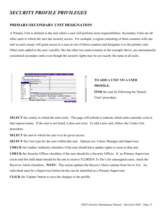# *SECURITY PROFILE PRIVILEGES*

## **PRIMARY/SECONDARY UNIT DESIGNATION**

A Primary Unit is defined as the unit where a user will perform most responsibilities. Secondary Units are all other units to which the user has security access. For example, a region consisting of three counties with one unit in each county will grant access to a user in one of those counties and designate it as the primary unit. Other units added to the user's profile, like the other two units/counties in the example above, are automatically considered secondary units even though the security rights may be set exactly the same in all units.

|                           | Maintain Units                 | <b>Maintain Users</b>                                   | Help       | Logoff        |        |
|---------------------------|--------------------------------|---------------------------------------------------------|------------|---------------|--------|
| <b>JPR</b>                |                                | Individual Responsibility Plan and                      | ঢ়         |               |        |
|                           | <b>Job History/Placement</b>   |                                                         | М          |               |        |
|                           | <b>Qutcomes and Follow-ups</b> |                                                         | ⊽          |               |        |
| Alachua                   | ∦SSI/SAMH                      |                                                         | ঢ়         |               |        |
| Baker                     |                                |                                                         | М          |               |        |
| Bay                       |                                |                                                         | ঢ়         |               |        |
| Bradford                  | hts                            |                                                         | ঢ়         |               |        |
| Brevard<br><b>Broward</b> |                                |                                                         |            |               |        |
| Calhoun                   | cess Profile                   |                                                         |            |               |        |
| Charlotte                 |                                | [ Enter security profile information below ]            |            |               |        |
| Citrus                    |                                | R/C/U Receive Alerts Classification Security Privileges |            |               |        |
| Clay                      | 24/8/410                       | No.                                                     | Supervisor | Update        | Remove |
|                           |                                | Select county to add.                                   |            |               |        |
|                           |                                |                                                         |            | <b>Update</b> | Cancel |

## **TO ADD A UNIT TO A USER PROFILE:**

**FIND** the user by following the 'Search' Users' procedure.

**SELECT** the county in which the unit exists. The page will refresh to indicate which units currently exist in that region/county. If the unit is not listed, it does not exist. To add a new unit, follow the Create Unit procedure.

**SELECT** the unit to which the user is to be given access.

**SELECT** the User type for the user within that unit. Options are: Career Manager and Supervisor.

**CHECK** the Update Authority checkbox if the user should have update rights to cases in that unit.

**CHECK** the Security Officer checkbox if the user should be a Security Officer. If no Primary Supervisor exists and this individual should be the one to receive FLORIDA To Do's for unassigned cases, check the Receives Alerts checkbox. **NOTE:** This action updates the Receive Alerts column from No to Yes. An individual must be a Supervisor before he/she can be identified as a Primary Supervisor.

**CLICK** the 'Update' button to save the changes to the profile.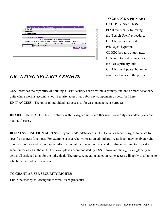|                    | Maintain Units             | Maintain Users                               | Help         | Logoff                                                               |        |
|--------------------|----------------------------|----------------------------------------------|--------------|----------------------------------------------------------------------|--------|
| <b>Deferrals</b>   |                            |                                              | М            |                                                                      |        |
| <b>Sanctions</b>   |                            |                                              | М            |                                                                      |        |
| <b>Assessments</b> |                            |                                              | ঢ়           |                                                                      |        |
|                    |                            |                                              |              |                                                                      |        |
|                    | <b>User Access Profile</b> |                                              |              |                                                                      |        |
|                    |                            | [ Enter security profile information below ] |              |                                                                      |        |
|                    |                            |                                              |              | Primary Unit R/C/U Receive Alerts Classification Security Privileges |        |
| $\epsilon$         | 8/2/408                    | No.                                          | Case Manager | Update                                                               | Remove |
|                    |                            | Select county to add.                        |              |                                                                      |        |
|                    |                            |                                              |              | <b>Update</b>                                                        | Cancel |
|                    |                            |                                              |              |                                                                      |        |
|                    |                            |                                              |              |                                                                      |        |
|                    |                            |                                              |              |                                                                      |        |
|                    |                            |                                              |              |                                                                      |        |
|                    |                            |                                              |              |                                                                      |        |

## **TO CHANGE A PRIMARY UNIT DESIGNATION**

**FIND** the user by following the 'Search Users' procedure. **CLICK** the 'View/Edit Privileges' hyperlink. **CLICK** the radio button next to the unit to be designated as the user's primary unit. **CLICK the** 'Update' button to save the changes to the profile.

# *GRANTING SECURITY RIGHTS*

OSST provides the capability of defining a user's security access within a primary and one or more secondary units where work is accomplished. Security access has a few key components as described here: **UNIT ACCESS** - The units an individual has access to for case management purposes.

 $\blacktriangle$ 

**READ/UPDATE ACCESS** - The ability within assigned units to either read (view only) or update (view and maintain) cases.

**BUSINESS FUNCTION ACCESS** - Beyond read/update access, OSST enables security rights to be set for specific business functions. For example, a user who works as an administrative assistant may be given rights to update contact and demographic information but there may not be a need for that individual to request a sanction for cases in the unit. This example is accommodated by OSST, however, the rights are globally set across all assigned units for the individual. Therefore, removal of sanction-write access will apply to all units to which the individual has access.

### **TO GRANT A USER SECURITY RIGHTS:**

**FIND** the user by following the 'Search Users' procedure.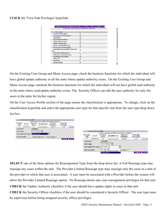**CLICK** the 'View/Edit Privileges' hyperlink.

| Maintain Users<br>Maintain Units                 | Help<br><b>Existing User Group and Menu Access</b> | Logoff |
|--------------------------------------------------|----------------------------------------------------|--------|
|                                                  |                                                    |        |
| <b>User Type</b>                                 |                                                    |        |
| <b>Contact Information</b>                       | ⊽                                                  |        |
| <b>Demographic Information</b>                   | ⊽                                                  |        |
| <b>Education</b>                                 | М                                                  |        |
| <b>Household Members</b>                         | М                                                  |        |
| <b>Goals and Interests</b>                       | ⊽                                                  |        |
| <b>Needs and Barriers</b>                        | $\overline{\mathbf{v}}$                            |        |
| <b>Steps to Self Sufficiency</b>                 | ⊽                                                  |        |
| Service and Training Plan                        | $\overline{\mathbf{v}}$                            |        |
| Individual Responsibility Plan and<br><b>JPR</b> | ☑                                                  |        |
| <b>Job History/Placement</b>                     | г                                                  |        |
| Outcomes and Follow-ups                          | ⊽                                                  |        |
| Hardships/SSI/SAMH                               | М                                                  |        |
| <b>Deferrals</b>                                 | ⊽                                                  |        |
| <b>Sanctions</b>                                 | г                                                  |        |
| <b>Assessments</b>                               | ⊽                                                  |        |

On the Existing User Group and Menu Access page, check the business functions for which the individual will have global update authority in all the units where update authority exists. On the Existing User Group and Menu Access page, uncheck the business functions for which the individual will not have global read authority in the units where read/update authority exists. The Security Officer can edit the user authority for only the users in the units for his/her region.

On the User Access Profile section of the page ensure the classification is appropriate. To change, click on the classification hyperlink and select the appropriate user type for that specific unit from the user type drop down list box.



**SELECT** one of the three options for Reassignment Type from the drop down list. A Full Reassign type may reassign any cases within the unit. The Provider Limited Reassign type may reassign only the cases in a unit of the provider to which that user is associated. A user must be associated with a Provider before the system will allow the Provider Limited Reassign option. No Reassign denies any case reassignment privileges for that unit. **CHECK** the Update Authority checkbox if the user should have update rights to cases in that unit.

**CHECK** the Security Officer checkbox if the user should be considered a Security Officer. The user type must be supervisor before being assigned security officer privileges.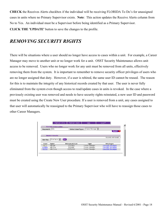**CHECK** the Receives Alerts checkbox if the individual will be receiving FLORIDA To Do's for unassigned cases in units where no Primary Supervisor exists. **Note**: This action updates the Receive Alerts column from No to Yes. An individual must be a Supervisor before being identified as a Primary Supervisor. **CLICK THE 'UPDATE'** button to save the changes to the profile.

# *REMOVING SECURITY RIGHTS*

There will be situations where a user should no longer have access to cases within a unit. For example, a Career Manager may move to another unit or no longer work for a unit. OSST Security Maintenance allows unit access to be removed. Users who no longer work for any unit must be removed from all units, effectively removing them from the system. It is important to remember to remove security officer privileges of users who are no longer assigned that duty. However, if a user is rehired, the same user ID cannot be reused. The reason for this is to maintain the integrity of any historical records created by that user. The user is never fully eliminated from the system even though access to read/update cases in units is revoked. In the case where a previously existing user was removed and needs to have security rights reinstated, a new user ID and password must be created using the Create New User procedure. If a user is removed from a unit, any cases assigned to that user will automatically be reassigned to the Primary Supervisor who will have to reassign those cases to other Career Managers.

|               |                       | <b>Contact Information</b> |                |                      |
|---------------|-----------------------|----------------------------|----------------|----------------------|
| Keyword:      | hills                 | <b>Select User Type:</b>   | Career Manager |                      |
|               |                       |                            |                | Search <sub>2</sub>  |
|               |                       |                            |                |                      |
|               | <b>Search Results</b> |                            |                |                      |
|               |                       |                            |                | Records retrieved: 3 |
| Sort by:      | First Name            | <b>Sort</b>                |                |                      |
|               |                       |                            |                |                      |
|               |                       |                            |                |                      |
| User          | Name                  | Primary R/C/U              | Type           | Privileges           |
| <b>HILLS</b>  | Hill, Sue             | 5/37/601                   | Career Manager | View/Edit Privileges |
| <b>SUSIEH</b> | Hills.Sue             | 8/2/408                    | Career Manager | View/Edit Privileges |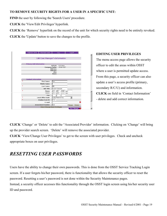#### **TO REMOVE SECURITY RIGHTS FOR A USER IN A SPECIFIC UNIT:**

**FIND** the user by following the 'Search Users' procedure.

**CLICK** the 'View/Edit Privileges' hyperlink.

**CLICK** the 'Remove' hyperlink on the record of the unit for which security rights need to be entirely revoked. **CLICK** the 'Update' button to save the changes to the profile.

|        |                                 | Logoff<br>Help                                       |
|--------|---------------------------------|------------------------------------------------------|
|        |                                 |                                                      |
|        |                                 | <b>Edit Case Manager's Information</b>               |
|        |                                 |                                                      |
|        | <b>Primary Unit Information</b> |                                                      |
|        |                                 | $R/C/U$ :<br>5/37/601                                |
|        |                                 | <b>LEON FSET</b><br><b>Company Name:</b><br>Address: |
|        |                                 | Address:                                             |
|        |                                 | City:                                                |
|        |                                 | State:                                               |
|        |                                 |                                                      |
|        | <b>Contact Information</b>      |                                                      |
| $\ast$ |                                 |                                                      |
|        | <b>First Name</b>               | Sue                                                  |
|        | <b>Middle Name</b>              | IL                                                   |
| $\ast$ | <b>Last Name</b>                | Hill                                                 |
|        | <b>Job Title</b>                | Career Manager                                       |
| ж      | Phone                           | $(850)$ 921 . 0000<br>Ext.                           |
|        | Priorie                         | $(1000)$ $(000)$ $-1600$<br>Ext.                     |
|        | Fax                             |                                                      |
| ж      | <b>Local Office Code</b>        | 4125: Panama City                                    |
| ж      | <b>Station Desk ID</b>          | 2113                                                 |
|        | F-mail                          |                                                      |
|        | <b>Associated Provider</b>      | Alpi<br>Change<br><b>Delete</b>                      |

#### **EDITING USER PRIVILEGES**

The menu access page allows the security officer to edit the areas within OSST where a user is permitted update access. From this page, a security officer can also update a user's access profile (primary, secondary R/C/U) and information. **CLICK** on field in 'Contact Information' - delete and add correct information.

**CLICK** 'Change' or 'Delete' to edit the "Associated Provider' information. Clicking on 'Change' will bring up the provider search screen. 'Delete' will remove the associated provider.

**CLICK** 'View/Change User Privileges' to get to the screen with user privileges. Check and uncheck appropriate boxes on user privileges.

# *RESETTING USER PASSWORDS*

Users have the ability to change their own passwords. This is done from the OSST Service Tracking Login screen. If a user forgets his/her password, there is functionality that allows the security officer to reset the password. Resetting a user's password is not done within the Security Maintenance pages. Instead, a security officer accesses this functionality through the OSST login screen using his/her security user ID and password.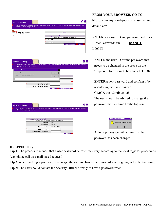| Service Tracking                                                             |                                                                                                                    |
|------------------------------------------------------------------------------|--------------------------------------------------------------------------------------------------------------------|
| ?<br>button in the upper right corner.                                       | Click on the other help bubbles to get information about individual fields. For more in depth help, click the Help |
| Bubble Help: When you<br>see a help bubble dick on it to view<br>help above! | Login                                                                                                              |
|                                                                              | <b>Login Information</b><br>[ Enter User ID and Password Below ]<br>$\ast$<br>User ID                              |
|                                                                              | Ж<br>Password<br><b>Change Password</b><br>- 2<br>Login <sub>2</sub>                                               |
|                                                                              |                                                                                                                    |
|                                                                              |                                                                                                                    |



|     | button in the upper right corner.           |                       |  |
|-----|---------------------------------------------|-----------------------|--|
|     |                                             |                       |  |
|     | <b>Reset Users Password</b>                 |                       |  |
|     | [ Enter a new password for the user below ] |                       |  |
|     | User ID                                     | <b>HILLS</b>          |  |
|     | <b>User Name</b> Sue Hill                   |                       |  |
|     | <b>Phone Number</b>                         | 850-921-0000          |  |
| ж   | <b>New Password</b>                         |                       |  |
| $*$ | <b>Confirm New Password</b>                 |                       |  |
|     |                                             | Continue <sub>2</sub> |  |

#### **FROM YOUR BROWSER, GO TO:**

[https://www.myfloridajobs.com/casetracking](https://www.myfloridajobs.com/casetracking/)/ [de](https://www.myfloridajobs.com/casetracking/)fault.cfm

**ENTER** your user ID and password and click 'Reset Password' tab. **DO NOT LOGIN**

**ENTER** the user ID for the password that needs to be changed in the space on the 'Explorer User Prompt' box and click 'OK'.

**ENTER** a new password and confirm it by re-entering the same password.

**CLICK** the 'Continue' tab.

The user should be advised to change the password the first time he/she logs on.

| <b>Microsoft Internet Explorer</b> |
|------------------------------------|
| Password Updated Successfully      |
|                                    |

A Pop-up message will advise that the password has been changed.

### **HELPFUL TIPS:**

**Tip 1:** The process to request that a user password be reset may vary according to the local region's procedures (e.g. phone call vs e-mail based request).

**Tip 2**: After resetting a password, encourage the user to change the password after logging in for the first time.

**Tip 3:** The user should contact the Security Officer directly to have a password reset.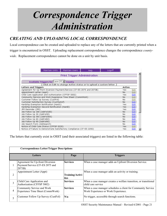# *Correspondence Trigger Administration*

## *CREATING AND UPLOADING LOCAL CORRESPONDENCE*

Local correspondence can be created and uploaded to replace any of the letters that are currently printed when a trigger is encountered in OSST. Uploading replacement correspondence changes the correspondence *countywide*. Replacement correspondence cannot be done on a unit by unit basis.

| Maintain Users<br>Maintain Units<br>Logoff<br>Help.                     |            |      |
|-------------------------------------------------------------------------|------------|------|
| <b>Print Trigger Administration</b>                                     |            |      |
|                                                                         |            |      |
| Available Triggers for Leon (37) V County                               |            |      |
| [ Click on Edit to change Active status or to upload a custom letter. ] |            |      |
| <b>Letters and Triggers</b>                                             | Active     |      |
| Agreement for Up-front Diversion Payment/Service (CF-ES 2075 and 2073B) | Yes        | Edit |
| Appointment Letter (Appt)                                               | No         | Edit |
| Child Care Application and Authorization (CFFSP 5002)                   | Yes        | Edit |
| Community Service and Work Experience Time Sheet (CommWork)             | No         | Edit |
| Customer Follow Up Survey (CustFol)                                     | No         | Edit |
| Customer Satisfaction Survey (CustSatisf)                               | Nn.        | Edit |
| Hardship Exemption Notification (Hard1)                                 | Yes.       | Edit |
| Hardship Exemption Second Notification (Hard2)                          | <b>Yes</b> | Edit |
| JPR Reminder (JPR)                                                      | Yes        | Edit |
| Job Follow Up 180 (JobFol180)                                           | No         | Edit |
| Job Follow Up 30 (JobFol30)                                             | No         | Edit |
| Job Follow Up 365 (JobFol365)                                           | No         | Edit |
| Job Follow Up 60 (JobFol60)                                             | No         | Edit |
| Job Follow Up 90 (JobFol90)                                             | No.        | Edit |
| Job Search Form (JobSearch)                                             | No         | Edit |
| Notice of Child Care Status (CFFSP 5235)                                | Yes        | Edit |
| Notice of Failure to Demonstrate Satisfactory Compliance (CF-ES 2292)   | Yes        | Edit |

The letters that currently exist in OSST (and their associated triggers) are listed in the following table:

|   | <b>Correspondence Letter/Trigger Descriptions</b>                             |                                |                                                                                                     |
|---|-------------------------------------------------------------------------------|--------------------------------|-----------------------------------------------------------------------------------------------------|
|   | Letters                                                                       | Page                           | <b>Triggers</b>                                                                                     |
|   | Agreement for Up-front Diversion<br>Payment/Service (CF-ES 2075 and<br>2073B) | <b>Services</b>                | When a case manager adds an Upfront Diversion Service.                                              |
| 2 | Appointment Letter (Appt)                                                     | <b>Training/Activi</b><br>ties | When a case manager adds an activity or training.                                                   |
| 3 | Child Care Application and<br>Authorization (CFFSP 5002)                      | <b>Services</b>                | When a case manager creates a welfare transition, or transitional<br>child care service             |
| 4 | Community Service and Work<br>Experience Time Sheet (CommWork)                | <b>Services</b>                | When a case manager schedules a client for Community Service<br>Work Experience or Work Experience. |
| 5 | Customer Follow Up Survey (CustFol)                                           | N/a                            | No trigger, accessible through search functions.                                                    |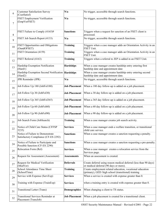| 6              | <b>Customer Satisfaction Survey</b><br>(CustSatisf)                      | N/a                  | No trigger, accessible through search functions.                                                                 |
|----------------|--------------------------------------------------------------------------|----------------------|------------------------------------------------------------------------------------------------------------------|
| $\overline{7}$ | <b>FSET Employment Verification</b><br>(EmpVerFSET)                      | N/a                  | No trigger, accessible through search functions.                                                                 |
| 8              | FSET Failure to Comply (4165)9                                           | <b>Sanctions</b>     | Triggers when a request for sanction of an FSET client is<br>processed.                                          |
| 9              | FSET Job Search Report (4133)                                            | N/a                  | No trigger, accessible through search functions.                                                                 |
| 10             | <b>FSET Opportunities and Obligations</b><br>(OandOFSET)                 | <b>Training</b>      | Triggers when a case manager adds an Orientation Activity in an<br>FSET Unit.                                    |
| 11             | FSET Orientation (4159)                                                  | <b>Training</b>      | Triggers when a case manager adds an Orientation Activity in an<br>FSET Unit.                                    |
| 12             | FSET Referral (4163)                                                     | <b>Training</b>      | Triggers when a referral to JEP is added in an FSET Unit.                                                        |
| 13             | Hardship Exemption Notification<br>(Hard1)                               | <b>Hardships</b>     | When a case manager creates hardship entry entering first<br>hardship date and appointment date                  |
| 14             | Hardship Exemption Second Notification   Hardships<br>(Hard2)            |                      | When a case manager creates hardship entry entering second<br>hardship date and appointment date.                |
| 15             | JPR Reminder (JPR)                                                       | N/a                  | No trigger, accessible through search functions.                                                                 |
| 16             | Job Follow Up 180 (JobFol180)                                            | <b>Job Placement</b> | When a 180 day follow-up is added on a job placement.                                                            |
| 17             | Job Follow Up 30 (JobFol30)                                              | <b>Job Placement</b> | When a 30 day follow-up is added on a job placement.                                                             |
| 18             | Job Follow Up 365 (JobFol365)                                            | <b>Job Placement</b> | When a 365 day follow-up is added on a job placement.                                                            |
| 19             | Job Follow Up 60 (JobFol60)                                              | <b>Job Placement</b> | When a 60 day follow-up is added on a job placement.                                                             |
| 20             | Job Follow Up 90 (JobFol90)                                              | <b>Job Placement</b> | When a 90 day follow-up is added on a job placement.                                                             |
| 21             | Job Search Form (JobSearch)                                              | <b>Training</b>      | When a case manager creates job search activity.                                                                 |
| 22             | Notice of Child Care Status (CFFSP<br>5235)                              | <b>Services</b>      | When a case manager ends a welfare transition, or transitional<br>child care service.                            |
| 23             | Notice of Failure to Demonstrate<br>Satisfactory Compliance (CF-ES 2292) | <b>Sanctions</b>     | When a case manager creates a sanction requesting a penalty.                                                     |
| 24             | Notice of Failure to Participate and<br>Possible Sanction (CF-ES 2290)   | <b>Sanctions</b>     | When a case manager creates a sanction requesting a pre-penalty.                                                 |
| 25             | Relocation Form (Rel)                                                    | <b>Services</b>      | When a case manager creates a relocation service from the<br>Services page.                                      |
| 26             | Request for Assessment (Assessment)                                      | <b>Assessments</b>   | When an assessment is created.                                                                                   |
| 27             | Request for Medical Verification<br>(MedVer)                             | <b>Deferrals</b>     | Create deferral using reason medical deferral (less than 90 days)<br>or medical deferral (90 days or more).      |
| 28             | School Attendance Time Sheet<br>(SchoolTime)                             | Training             | Create employment related education, vocational education<br>(primary), GED /high school (transitional) training |
| 29             | Service with Expense (ServExp)                                           | <b>Services</b>      | When a service is created with expense greater than 0.                                                           |
| 30             | Training with Expense (TrainExp)                                         | <b>Services</b>      | when a training entry is created with expense greater than 0.                                                    |
| 31             | <b>Transitional Letter (Trans)</b>                                       | <b>Demographics</b>  | When changing a client to TS status.                                                                             |
| 32             | <b>Transitional Services Reminder at</b><br>Placement (TransJob)         | <b>Job Placement</b> | When a job placement is created for a transitional client.                                                       |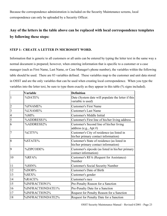Because the correspondence administration is included on the Security Maintenance screens, local correspondence can only be uploaded by a Security Officer.

## **Any of the letters in the table above can be replaced with local correspondence templates by following these steps:**

#### **STEP 1: CREATE A LETTER IN MICROSOFT WORD.**

Information that is generic to all customers or all units can be entered by typing the letter text in the same way a normal document is prepared; however, when entering information that is specific to a customer or a case manager (such as First Name, Last Name, or Case Manager's phone number), the variables within the following table should be used. There are 83 variables defined. These variables map to the customer and unit data stored in OSST and are the only variables that can be used when creating local correspondence. When you type the variables into the letter text, be sure to type them exactly as they appear in this table (% signs included).

|                | <b>Variable</b>   | <b>Definition</b>                                                                   |
|----------------|-------------------|-------------------------------------------------------------------------------------|
| $\mathbf{1}$   | %DATE%            | Date (System date will populate the letter if this<br>variable is used)             |
| $\overline{2}$ | %FNAME%           | <b>Customer's First Name</b>                                                        |
| $\overline{3}$ | %LNAME%           | <b>Customer's Last Name</b>                                                         |
| $\overline{4}$ | $\%MI\%$          | Customer's Middle Initial                                                           |
| 5              | %ADDRESS1%        | Customer's First line of his/her living address                                     |
| 6              | %ADDRESS2%        | Customer's Second line of his/her living<br>address (e.g., Apt #)                   |
| $\overline{7}$ | %CITY%            | Customer's City of residence (as listed in<br>his/her primary contact information)  |
| 8              | %STATE%           | Customer's State of residence (as listed in<br>his/her primary contact information) |
| 9              | %ZIPCODE%         | Customer's zipcode (as listed in his/her primary<br>contact information)            |
| 10             | $%$ RFA $%$       | Customer's RFA (Request for Assistance)<br>Number                                   |
| 11             | %SSN%             | <b>Customer's Social Security Number</b>                                            |
| 12             | %DOB%             | <b>Customer's Date of Birth</b>                                                     |
| 13             | %SEX%             | Customer's gender                                                                   |
| 14             | %RACE%            | Customer's race                                                                     |
| 15             | %INFRACTION1%     | Pre-Penalty Reason for a Sanction                                                   |
| 16             | %INFRACTIONDATE1% | Pre-Penalty Date for a Sanction                                                     |
| 17             | %INFRACTION2%     | Request for Penalty Reason for a Sanction                                           |
| 18             | %INFRACTIONDATE2% | Request for Penalty Date for a Sanction                                             |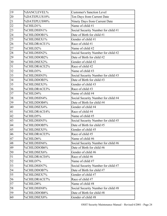| 19 | %SANCLEVEL%         | <b>Customer's Sanction Level</b>    |
|----|---------------------|-------------------------------------|
| 20 | %DATEPLUS10%        | Ten Days from Current Date          |
| 21 | %DATEPLUS90%        | Ninety Days from Current Date       |
| 22 | %CHILD1%            | Name of child #1                    |
| 23 | %CHILDSSN1%         | Social Security Number for child #1 |
| 24 | %CHILDDOB1%         | Date of Birth for child #1          |
| 25 | %CHILDSEX1%         | Gender of child #1                  |
| 26 | %CHILDRACE1%        | Race of child #1                    |
| 27 | %CHILD2%            | Name of child #2                    |
| 28 | %CHILDSSN2%         | Social Security Number for child #2 |
| 29 | %CHILDDOB2%         | Date of Birth for child #2          |
| 30 | %CHILDSEX2%         | Gender of child #2                  |
| 31 | %CHILDRACE2%        | Race of child #2                    |
| 32 | %CHILD3%            | Name of child #3                    |
| 33 | %CHILDSSN3%         | Social Security Number for child #3 |
| 34 | %CHILDDOB3%         | Date of Birth for child #3          |
| 35 | %CHILDSEX3%         | Gender of child #3                  |
| 36 | %CHILDRACE3%        | Race of child #3                    |
| 37 | %CHILD4%            | Name of child #4                    |
| 38 | %CHILDSSN4%         | Social Security Number for child #4 |
| 39 | %CHILDDOB4%         | Date of Birth for child #4          |
| 40 | %CHILDSEX4%         | Gender of child #4                  |
| 41 | %CHILDRACE4%        | Race of child #4                    |
| 42 | %CHILD5%            | Name of child #5                    |
| 43 | %CHILDSSN5%         | Social Security Number for child #5 |
| 44 | %CHILDDOB5%         | Date of Birth for child #5          |
| 45 | %CHILDSEX5%         | Gender of child #5                  |
| 46 | %CHILDRACE5%        | Race of child #5                    |
| 47 | %CHILD6%            | Name of child #6                    |
| 48 | %CHILDSSN6%         | Social Security Number for child #6 |
| 49 | %CHILDDOB6%         | Date of Birth for child #6          |
| 50 | %CHILDSEX6%         | Gender of child #6                  |
| 51 | %CHILDRACE6%        | Race of child #6                    |
| 52 | %CHILD7%            | Name of child #7                    |
| 53 | %CHILDSSN7%         | Social Security Number for child #7 |
| 54 | %CHILDDOB7%         | Date of Birth for child #7          |
| 55 | %CHILDSEX7%         | Gender of child #7                  |
| 56 | <b>%CHILDRACE7%</b> | Race of child #7                    |
| 57 | %CHILD8%            | Name of child #8                    |
| 58 | %CHILDSSN8%         | Social Security Number for child #8 |
| 59 | <b>%CHILDDOB8%</b>  | Date of Birth for child #8          |
| 60 | %CHILDSEX8%         | Gender of child #8                  |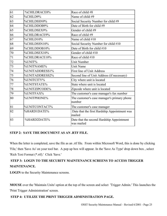| 61 | %CHILDRACE8%   | Race of child #8                                        |
|----|----------------|---------------------------------------------------------|
| 62 | %CHILD9%       | Name of child #9                                        |
| 63 | %CHILDSSN9%    | Social Security Number for child #9                     |
| 64 | %CHILDDOB9%    | Date of Birth for child #9                              |
| 65 | %CHILDSEX9%    | Gender of child #9                                      |
| 66 | %CHILDRACE9%   | Race of child #9                                        |
| 67 | %CHILD10%      | Name of child #10                                       |
| 68 | %CHILDSSN10%   | Social Security Number for child #10                    |
| 69 | %CHILDDOB10%   | Date of Birth for child #10                             |
| 70 | %CHILDSEX10%   | Gender of child #10                                     |
| 71 | %CHILDRACE10%  | Race of child #10                                       |
| 72 | %UNIT%         | <b>Unit Number</b>                                      |
| 73 | %UNITNAME%     | <b>Unit Name</b>                                        |
| 74 | %UNITADDRESS1% | <b>First line of Unit Address</b>                       |
| 75 | %UNITADDRESS2% | Second line of Unit Address (if necessary)              |
| 76 | %UNITCITY%     | City where unit is located                              |
| 77 | %UNITSTATE%    | State where unit is located                             |
| 78 | %UNITZIPCODE%  | Zipcode where unit is located                           |
| 79 | %UNITFAX%      | The customer's case manager's fax number                |
| 80 | %UNITPHONE%    | The customer's case manager's primary phone<br>number   |
| 81 | %UNITCONTACT%  | The customer's case manager                             |
| 82 | %HARD1DATE%    | Date that the first Hardship Appointment was<br>mailed  |
| 83 | %HARD2DATE%    | Date that the second Hardship Appointment<br>was mailed |

### **STEP 2: SAVE THE DOCUMENT AS AN .RTF FILE.**

When the letter is completed, save the file as an .rtf file. From within Microsoft Word, this is done by clicking 'File,' then 'Save As' on your tool bar. A pop up box will appear. In the 'Save As Type' drop down box , select 'Rich Text Format (\*.rtf).' Click 'Save.'

## **STEP 3: LOGIN TO THE SECURITY MAINTENANCE SCREENS TO ACCESS TRIGGER MAINTENANCE.**

**LOGIN** to the Security Maintenance screens.

**MOUSE** over the 'Maintain Units' option at the top of the screen and select 'Trigger Admin.' This launches the 'Print Trigger Administration' screen.

## **STEP 4: UTILIZE THE PRINT TRIGGER ADMINISTRATION PAGE.**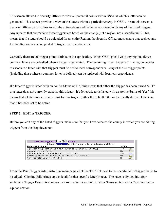This screen allows the Security Officer to view all potential points within OSST at which a letter can be generated. This screen provides a view of the letters within a particular *county* in OSST. From this screen, a Security Officer can also link to edit the active status and the letter associated with any of the listed triggers. Any updates that are made to these triggers are based on the *county* (not a region, not a specific unit). This means that if a letter should be uploaded for an entire Region, the Security Officer must ensure that each county for that Region has been updated to trigger that specific letter.

Currently there are 26 trigger points defined in the application. When OSST goes live in any region, eleven common letters are defaulted when a trigger is generated. The remaining fifteen triggers (if the region decides to associate a letter with that trigger) must be tied to local correspondence. Any of the 26 trigger points (including those where a common letter is defined) can be replaced with local correspondence.

If a letter/trigger is listed with an Active Status of 'No,' this means that either the trigger has been turned 'OFF' or a letter does not currently exist for this trigger. If a letter/trigger is listed with an Active Status of 'Yes,' this means that a letter does currently exist for this trigger (either the default letter or the locally defined letter) and that it has been set to be active.

### **STEP 5: EDIT A TRIGGER.**

Before you edit any of the listed triggers, make sure that you have selected the county in which you are editing triggers from the drop down box.

| Available Triggers for Leon (37) ■ County                               |        |      |
|-------------------------------------------------------------------------|--------|------|
|                                                                         |        |      |
| <b>Letters and Triggers</b>                                             | Active |      |
| Agreement for Up-front Diversion Payment/Service (CF-ES 2075 and 2073B) | Yes    | Edit |
| Appointment Letter (Appt)                                               | No.    | Edit |
| Child Care Application and Authorization (CFFSP 5002)                   | Yes    | Edit |
| Community Service and Work Experience Time Sheet (CommWork)             | No     | Edit |
| Customer Follow Up Survey (CustFol)                                     | No     | Edit |
|                                                                         |        |      |

From the 'Print Trigger Administration' main page, click the 'Edit' link next to the specific letter/trigger that is to be edited. Clicking Edit brings up the detail for that specific letter/trigger. The page is divided into four sections: a Trigger Description section, an Active Status section, a Letter Status section and a Customer Letter Upload section.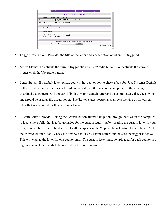

- Trigger Description: Provides the title of the letter and a description of when it is triggered.
- Active Status: To activate the current trigger click the 'Yes' radio button. To inactivate the current trigger click the 'No' radio button.
- Letter Status: If a default letter exists, you will have an option to check a box for "Use System's Default Letter." If a default letter does not exist and a custom letter has not been uploaded, the message "Need to upload a document" will appear. If both a system default letter and a custom letter exist, check which one should be used as the trigger letter. The 'Letter Status' section also allows viewing of the current letter that is generated for this particular trigger.
- Custom Letter Upload: Clicking the Browse button allows navigation through the files on the computer to locate the .rtf file that is to be uploaded for the custom letter. After locating the custom letter in your files, double click on it. The document will the appear in the "Upload New Custom Letter" box. Click the "Save/Continue" tab. Check the box next to "Use Custom Letter" and be sure the trigger is active. This will change the letter for one county only. The custom letter must be uploaded for each county in a region if same letter needs to be utilized by the entire region.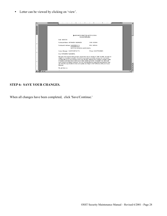• Letter can be viewed by clicking on 'view'.

| $\mathbf{L}$ |                                                                                                                                                                                                                                                                                                           |
|--------------|-----------------------------------------------------------------------------------------------------------------------------------------------------------------------------------------------------------------------------------------------------------------------------------------------------------|
|              | HARDSHIP EXEMPTION NOTIFICATION                                                                                                                                                                                                                                                                           |
|              | Second Notification                                                                                                                                                                                                                                                                                       |
|              | Date: %DATE%                                                                                                                                                                                                                                                                                              |
|              | SSN: %SSN%<br>Participant Name: %FNAME% %LNAME%                                                                                                                                                                                                                                                           |
|              | Participant's Address: %ADDRESS1%<br>RFA: %RFA%<br>%ADDRESS2%<br>%CITY%, %STATE% %ZIPCODE%                                                                                                                                                                                                                |
|              |                                                                                                                                                                                                                                                                                                           |
| N            | Career Manager: %UNITCONTACT%<br>Phone: %UNITPHONE%                                                                                                                                                                                                                                                       |
|              | Dear %FNAME% %LNAME%.                                                                                                                                                                                                                                                                                     |
|              | We have been informed that you have reached the last six months of TANF benefits, and may be<br>eligible for a hardship exemption. In order for us to assist you in this process, we must review<br>your file with you to ensure that you have met all of the criteria for the hardship exemption status. |
| m            | A hardship exemption would allow you to obtain additional months of benefits now, which will<br>count toward your lifetime maximum. It is very important that you attend this appointment. It will<br>also allow the opportunity to review and update your Steps to Self Sufficiency with your Career     |
|              | Manager.                                                                                                                                                                                                                                                                                                  |
|              | We ask that you:                                                                                                                                                                                                                                                                                          |
|              | ual Gi                                                                                                                                                                                                                                                                                                    |

## **STEP 6: SAVE YOUR CHANGES.**

When all changes have been completed, click 'Save/Continue.'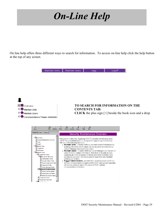# *On-Line Help*

On line help offers three different ways to search for information. To access on-line help click the help button at the top of any screen.

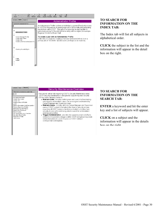

#### **TO SEARCH FOR INFORMATION ON THE INDEX TAB:**

The Index tab will list all subjects in alphabetical order.

**CLICK** the subject in the list and the information will appear in the detail box on the right.

#### Contents | Index | Search |

| i vbe in the word(s) to search for:                                                                                                                                                                                                  |  |
|--------------------------------------------------------------------------------------------------------------------------------------------------------------------------------------------------------------------------------------|--|
| luser                                                                                                                                                                                                                                |  |
| Administrator Profile<br>Create New Users<br>Create Unit<br>Granting Security Rights<br>Login<br>Primary Secondary Unit Designation<br>Primary Supervisor Profile<br>Removing Security Rights<br>Reset User Password<br>Search Users |  |
| Security Maintenance Overview<br>Security Officer Profile<br>Supervisor Profile<br>Unit Search                                                                                                                                       |  |

#### Security Maintenance Overview

Welcome to online help regarding OSST's Security Maintenance area. OSST Security Maintenance is designed to support regional Security Officers in the following functions:

- . Maintain Units includes defining new and search for/maintaining existing units within which cases can be assigned and tracked by Career Manager and Supervisor users.<br>• Maintain Users - includes defining Career Manager and Supervisor
- users of OSST contact information, their level of security access regarding all OSST business functions and which units they have security access within and being able to search for and maintain existing user profiles.

. Trigger Administration - provides the capability to turn on/off predefined correspondence triggers within OSST and upload regionally<br>defined templates to use in the place of OSST defined correspondence templates.

#### **TO SEARCH FOR INFORMATION ON THE SEARCH TAB:**

**ENTER** a keyword and hit the enter key and a list of subjects will appear.

**CLICK** on a subject and the information will appear in the details box on the right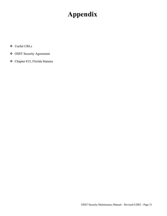# **Appendix**

- Useful URLs
- OSST Security Agreement
- Chapter 815, Florida Statutes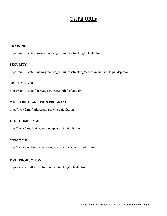# **Useful URLs**

#### **TRAINING**

https://sun13.state.fl.us/wagesct/wagestrain/casetracking/default.cfm

#### **SECURITY**

https://sun13.state.fl.us/wagesct/wagestrain/casetracking/securitymaint/sm\_login\_dsp.cfm

#### **SKILL MATCH**

https://sun13.state.fl.us/wagesct/wagestrain/default.cfm

#### **WELFARE TRANSITION PROGRAM**

http://www2.myflorida.com/awi/wtp/default.htm

#### **OSST HOME PAGE**

http://www2.myflorida.com/awi/pdg/osst/default.htm

#### **WFI/OSMIS**

http://workforceflorida.com/wages/wfi/partners/osmis/index.html

#### **OSST PRODUCTION**

https://www.myfloridajobs.com/casetracking/default.cfm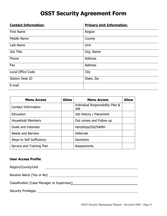# **OSST Security Agreement Form**

| <b>Contact Information:</b> | <b>Primary Unit Information:</b> |
|-----------------------------|----------------------------------|
| <b>First Name</b>           | Region                           |
| Middle Name                 | County                           |
| Last Name                   | Unit                             |
| Job Title                   | Org. Name                        |
| Phone                       | <b>Address</b>                   |
| Fax                         | <b>Address</b>                   |
| Local Office Code           | City                             |
| <b>Station Desk ID</b>      | State, Zip                       |
| E-mail                      |                                  |

| <b>Menu Access</b>         | <b>Allow</b> | <b>Menu Access</b>                             | <b>Allow</b> |
|----------------------------|--------------|------------------------------------------------|--------------|
| <b>Contact Information</b> |              | Individual Responsibility Plan &<br><b>JPR</b> |              |
| Education                  |              | Job History / Placement                        |              |
| <b>Household Members</b>   |              | Out comes and Follow up                        |              |
| Goals and Interests        |              | Hardships/SSI/SAMH                             |              |
| <b>Needs and Barriers</b>  |              | <b>Deferrals</b>                               |              |
| Steps to Self Sufficiency  |              | Sanctions                                      |              |
| Service and Training Plan  |              | Assessments                                    |              |

### **User Access Profile**

Region/County/Unit <u> 1980 - Johann Barn, mars ann an t-Amhain Aonaich an t-Aonaich an t-Aonaich ann an t-Aonaich ann an t-Aonaich</u>

Receive Alerts (Yes or No)

Classification (Case Manager or Supervisor)

Security Privileges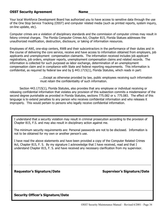#### **OSST Security Agreement Name**

Your local Workforce Development Board has authorized you to have access to sensitive data through the use of the One Stop Service Tracking (OSST) and computer related media (such as printed reports, system inquiry, on-line update, etc).

Computer crimes are a violation of disciplinary standards and the commission of computer crimes may result in felony criminal charges. The Florida Computer Crimes Act, Chapter 815, Florida Statues addresses the unauthorized modification, destruction, disclosure, or taking of information resources.

Employees of AWI, one-stop centers, RWB and their subcontractors in the performance of their duties and in the course of delivering the core service, receive and have access to information obtained from employers, job applicants and unemployment compensation claimants. The information received includes job applicant registrations, job orders, employer reports, unemployment compensation claims and related records. The information is collected for such purposed as labor exchange, determination of an unemployment compensation claim and in compliance with State and federal reporting requirements. This information is confidential, as required by federal law and by § 443.1715(1), Florida Statutes, which reads in part:

> …..Except as otherwise provided by law, public employees receiving such information must retain the confidentiality of such information.

Section 443.1715(1), Florida Statutes, also provides that any employee or individual receiving or releasing confidential information that violates any provision of this subsection commits a misdemeanor of the second degree punishable as provided in Florida Statutes, sections 775.082 or s. 775.083. The effect of this language is to extend penalties to any person who receives confidential information and who releases it improperly. This would pertain to persons who legally receive confidential information.

I understand that a security violation may result in criminal prosecution according to the provision of Chapter 815, F.S. and may also result in disciplinary action against me.

The minimum security requirements are: Personal passwords are not to be disclosed. Information is not to be obtained for my own or another person's use.

I have read the above statements and have been provided a copy of the Computer Related Crimes Act, Chapter 815, F. S. By my signature I acknowledge that I have received, read and that I understand Chapter 815, F. S. and have received any necessary clarification from my supervisor.

**Requestor's Signature/Date Supervisor's Signature/Date**

## **Security Officer's Signature/Date**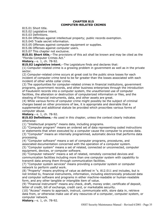#### **CHAPTER 815 COMPUTER-RELATED CRIMES**

815.01 Short title.

815.02 Legislative intent.

815.03 Definitions.

815.04 Offenses against intellectual property; public records exemption.

815.045 Trade secret information.

815.05 Offenses against computer equipment or supplies.

815.06 Offenses against computer users.

815.07 This chapter not exclusive.

**815.01 Short title.**--The provisions of this act shall be known and may be cited as the "Florida Computer Crimes Act."

**History.**--s. 1, ch. 78-92.

**815.02 Legislative intent.**--The Legislature finds and declares that:

(1) Computer-related crime is a growing problem in government as well as in the private sector.

(2) Computer-related crime occurs at great cost to the public since losses for each incident of computer crime tend to be far greater than the losses associated with each incident of other white collar crime.

(3) The opportunities for computer-related crimes in financial institutions, government programs, government records, and other business enterprises through the introduction of fraudulent records into a computer system, the unauthorized use of computer facilities, the alteration or destruction of computerized information or files, and the stealing of financial instruments, data, and other assets are great.

(4) While various forms of computer crime might possibly be the subject of criminal charges based on other provisions of law, it is appropriate and desirable that a supplemental and additional statute be provided which proscribes various forms of computer abuse.

**History.**--s. 1, ch. 78-92.

**815.03 Definitions.**--As used in this chapter, unless the context clearly indicates otherwise:

(1) "Intellectual property" means data, including programs.

(2) "Computer program" means an ordered set of data representing coded instructions or statements that when executed by a computer cause the computer to process data. (3) "Computer" means an internally programmed, automatic device that performs data processing.

(4) "Computer software" means a set of computer programs, procedures, and associated documentation concerned with the operation of a computer system.

(5) "Computer system" means a set of related, connected or unconnected, computer equipment, devices, or computer software.

(6) "Computer network" means a set of related, remotely connected devices and communication facilities including more than one computer system with capability to transmit data among them through communication facilities.

(7) "Computer system services" means providing a computer system or computer network to perform useful work.

(8) "Property" means anything of value as defined in  ${}^{1}$ s. 812.011 and includes, but is not limited to, financial instruments, information, including electronically produced data and computer software and programs in either machine-readable or human-readable form, and any other tangible or intangible item of value.

(9) "Financial instrument" means any check, draft, money order, certificate of deposit, letter of credit, bill of exchange, credit card, or marketable security.

(10) "Access" means to approach, instruct, communicate with, store data in, retrieve data from, or otherwise make use of any resources of a computer, computer system, or computer network.

**History.**--s. 1, ch. 78-92.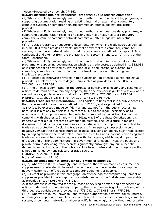#### **1Note.**--Repealed by s. 16, ch. 77-342.

#### **815.04 Offenses against intellectual property; public records exemption.**--

(1) Whoever willfully, knowingly, and without authorization modifies data, programs, or supporting documentation residing or existing internal or external to a computer, computer system, or computer network commits an offense against intellectual property.

(2) Whoever willfully, knowingly, and without authorization destroys data, programs, or supporting documentation residing or existing internal or external to a computer, computer system, or computer network commits an offense against intellectual property.

(3)(a) Data, programs, or supporting documentation which is a trade secret as defined in s. 812.081 which resides or exists internal or external to a computer, computer system, or computer network which is held by an agency as defined in chapter 119 is confidential and exempt from the provisions of s. 119.07(1) and s. 24(a), Art. I of the State Constitution.

(b) Whoever willfully, knowingly, and without authorization discloses or takes data, programs, or supporting documentation which is a trade secret as defined in s. 812.081 or is confidential as provided by law residing or existing internal or external to a computer, computer system, or computer network commits an offense against intellectual property.

(4)(a) Except as otherwise provided in this subsection, an offense against intellectual property is a felony of the third degree, punishable as provided in s. 775.082, s. 775.083, or s. 775.084.

(b) If the offense is committed for the purpose of devising or executing any scheme or artifice to defraud or to obtain any property, then the offender is guilty of a felony of the second degree, punishable as provided in s. 775.082, s. 775.083, or s. 775.084. **History.**--s. 1, ch. 78-92; s. 1, ch. 94-100; s. 431, ch. 96-406.

**815.045 Trade secret information.**--The Legislature finds that it is a public necessity that trade secret information as defined in s. 812.081, and as provided for in s. 815.04(3), be expressly made confidential and exempt from the public records law because it is a felony to disclose such records. Due to the legal uncertainty as to whether a public employee would be protected from a felony conviction if otherwise complying with chapter 119, and with s. 24(a), Art. I of the State Constitution, it is imperative that a public records exemption be created. The Legislature in making disclosure of trade secrets a crime has clearly established the importance attached to trade secret protection. Disclosing trade secrets in an agency's possession would negatively impact the business interests of those providing an agency such trade secrets by damaging them in the marketplace, and those entities and individuals disclosing such trade secrets would hesitate to cooperate with that agency, which would impair the effective and efficient administration of governmental functions. Thus, the public and private harm in disclosing trade secrets significantly outweighs any public benefit derived from disclosure, and the public's ability to scrutinize and monitor agency action is not diminished by nondisclosure of trade secrets.

**History.**--s. 2, ch. 94-100.

**Note.**--Former s. 119.165.

#### **815.05 Offenses against computer equipment or supplies.**--

(1)(a) Whoever willfully, knowingly, and without authorization modifies equipment or supplies used or intended to be used in a computer, computer system, or computer network commits an offense against computer equipment or supplies.

(b)1. Except as provided in this paragraph, an offense against computer equipment or supplies as provided in paragraph (a) is a misdemeanor of the first degree, punishable as provided in s. 775.082 or s. 775.083.

2. If the offense is committed for the purpose of devising or executing any scheme or artifice to defraud or to obtain any property, then the offender is guilty of a felony of the third degree, punishable as provided in s. 775.082, s. 775.083, or s. 775.084.

(2)(a) Whoever willfully, knowingly, and without authorization destroys, takes, injures, or damages equipment or supplies used or intended to be used in a computer, computer system, or computer network; or whoever willfully, knowingly, and without authorization